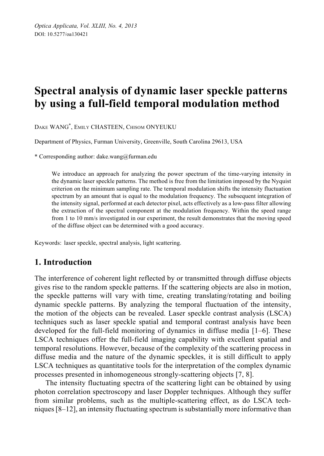# **Spectral analysis of dynamic laser speckle patterns by using a full-field temporal modulation method**

DAKE WANG\* , EMILY CHASTEEN, CHISOM ONYEUKU

Department of Physics, Furman University, Greenville, South Carolina 29613, USA

\* Corresponding author: dake.wang@furman.edu

We introduce an approach for analyzing the power spectrum of the time-varying intensity in the dynamic laser speckle patterns. The method is free from the limitation imposed by the Nyquist criterion on the minimum sampling rate. The temporal modulation shifts the intensity fluctuation spectrum by an amount that is equal to the modulation frequency. The subsequent integration of the intensity signal, performed at each detector pixel, acts effectively as a low-pass filter allowing the extraction of the spectral component at the modulation frequency. Within the speed range from 1 to 10 mm/s investigated in our experiment, the result demonstrates that the moving speed of the diffuse object can be determined with a good accuracy.

Keywords: laser speckle, spectral analysis, light scattering.

# **1. Introduction**

The interference of coherent light reflected by or transmitted through diffuse objects gives rise to the random speckle patterns. If the scattering objects are also in motion, the speckle patterns will vary with time, creating translating/rotating and boiling dynamic speckle patterns. By analyzing the temporal fluctuation of the intensity, the motion of the objects can be revealed. Laser speckle contrast analysis (LSCA) techniques such as laser speckle spatial and temporal contrast analysis have been developed for the full-field monitoring of dynamics in diffuse media [1–6]. These LSCA techniques offer the full-field imaging capability with excellent spatial and temporal resolutions. However, because of the complexity of the scattering process in diffuse media and the nature of the dynamic speckles, it is still difficult to apply LSCA techniques as quantitative tools for the interpretation of the complex dynamic processes presented in inhomogeneous strongly-scattering objects [7, 8].

The intensity fluctuating spectra of the scattering light can be obtained by using photon correlation spectroscopy and laser Doppler techniques. Although they suffer from similar problems, such as the multiple-scattering effect, as do LSCA techniques [8–12], an intensity fluctuating spectrum is substantially more informative than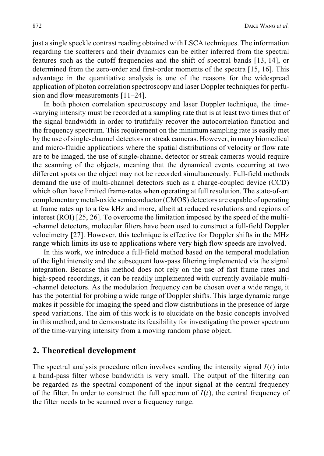just a single speckle contrast reading obtained with LSCA techniques. The information regarding the scatterers and their dynamics can be either inferred from the spectral features such as the cutoff frequencies and the shift of spectral bands [13, 14], or determined from the zero-order and first-order moments of the spectra [15, 16]. This advantage in the quantitative analysis is one of the reasons for the widespread application of photon correlation spectroscopy and laser Doppler techniques for perfusion and flow measurements [11–24].

In both photon correlation spectroscopy and laser Doppler technique, the time- -varying intensity must be recorded at a sampling rate that is at least two times that of the signal bandwidth in order to truthfully recover the autocorrelation function and the frequency spectrum. This requirement on the minimum sampling rate is easily met by the use of single-channel detectors or streak cameras. However, in many biomedical and micro-fluidic applications where the spatial distributions of velocity or flow rate are to be imaged, the use of single-channel detector or streak cameras would require the scanning of the objects, meaning that the dynamical events occurring at two different spots on the object may not be recorded simultaneously. Full-field methods demand the use of multi-channel detectors such as a charge-coupled device (CCD) which often have limited frame-rates when operating at full resolution. The state-of-art complementary metal-oxide semiconductor (CMOS) detectors are capable of operating at frame rates up to a few kHz and more, albeit at reduced resolutions and regions of interest (ROI) [25, 26]. To overcome the limitation imposed by the speed of the multi- -channel detectors, molecular filters have been used to construct a full-field Doppler velocimetry [27]. However, this technique is effective for Doppler shifts in the MHz range which limits its use to applications where very high flow speeds are involved.

In this work, we introduce a full-field method based on the temporal modulation of the light intensity and the subsequent low-pass filtering implemented via the signal integration. Because this method does not rely on the use of fast frame rates and high-speed recordings, it can be readily implemented with currently available multi- -channel detectors. As the modulation frequency can be chosen over a wide range, it has the potential for probing a wide range of Doppler shifts. This large dynamic range makes it possible for imaging the speed and flow distributions in the presence of large speed variations. The aim of this work is to elucidate on the basic concepts involved in this method, and to demonstrate its feasibility for investigating the power spectrum of the time-varying intensity from a moving random phase object.

#### **2. Theoretical development**

The spectral analysis procedure often involves sending the intensity signal  $I(t)$  into a band-pass filter whose bandwidth is very small. The output of the filtering can be regarded as the spectral component of the input signal at the central frequency of the filter. In order to construct the full spectrum of  $I(t)$ , the central frequency of the filter needs to be scanned over a frequency range.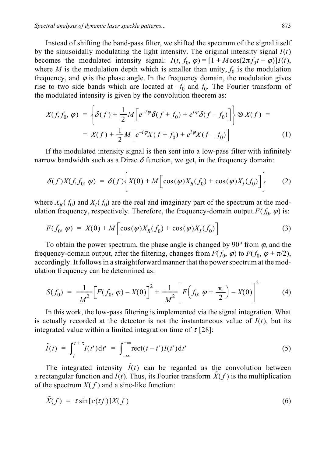Instead of shifting the band-pass filter, we shifted the spectrum of the signal itself by the sinusoidally modulating the light intensity. The original intensity signal  $I(t)$ becomes the modulated intensity signal:  $I(t, f_0, \varphi) = [1 + M\cos(2\pi f_0 t + \varphi)]I(t)$ , where *M* is the modulation depth which is smaller than unity,  $f_0$  is the modulation frequency, and  $\varphi$  is the phase angle. In the frequency domain, the modulation gives rise to two side bands which are located at  $-f_0$  and  $f_0$ . The Fourier transform of the modulated intensity is given by the convolution theorem as:

$$
X(f, f_0, \varphi) = \left\{ \delta(f) + \frac{1}{2} M \left[ e^{-i\varphi} \delta(f + f_0) + e^{i\varphi} \delta(f - f_0) \right] \right\} \otimes X(f) =
$$
  
= 
$$
X(f) + \frac{1}{2} M \left[ e^{-i\varphi} X(f + f_0) + e^{i\varphi} X(f - f_0) \right]
$$
 (1)

If the modulated intensity signal is then sent into a low-pass filter with infinitely narrow bandwidth such as a Dirac  $\delta$  function, we get, in the frequency domain:

$$
\delta(f)X(f,f_0,\,\varphi) = \delta(f)\bigg\{X(0) + M\bigg[\cos(\varphi)X_R(f_0) + \cos(\varphi)X_I(f_0)\bigg]\bigg\} \qquad (2)
$$

where  $X_R(f_0)$  and  $X_I(f_0)$  are the real and imaginary part of the spectrum at the modulation frequency, respectively. Therefore, the frequency-domain output  $F(f_0, \varphi)$  is:

$$
F(f_0, \varphi) = X(0) + M \left[ \cos(\varphi) X_R(f_0) + \cos(\varphi) X_I(f_0) \right]
$$
\n(3)

To obtain the power spectrum, the phase angle is changed by 90 $\degree$  from  $\varphi$ , and the frequency-domain output, after the filtering, changes from  $F(f_0, \varphi)$  to  $F(f_0, \varphi + \pi/2)$ , accordingly. It follows in a straightforward manner that the power spectrum at the modulation frequency can be determined as:

$$
S(f_0) = \frac{1}{M^2} \Big[ F(f_0, \varphi) - X(0) \Big]^2 + \frac{1}{M^2} \Big[ F\Big(f_0, \varphi + \frac{\pi}{2}\Big) - X(0) \Big]^2 \tag{4}
$$

In this work, the low-pass filtering is implemented via the signal integration. What is actually recorded at the detector is not the instantaneous value of  $I(t)$ , but its integrated value within a limited integration time of  $\tau$  [28]:

$$
\tilde{I}(t) = \int_{t}^{t+\tau} I(t') dt' = \int_{-\infty}^{+\infty} \text{rect}(t-t') I(t') dt'
$$
\n(5)

The integrated intensity  $\tilde{I}(t)$  can be regarded as the convolution between a rectangular function and  $I(t)$ . Thus, its Fourier transform  $\tilde{X}(f)$  is the multiplication of the spectrum  $X(f)$  and a sinc-like function:

$$
\tilde{X}(f) = \tau \sin[c(\tau f)]X(f) \tag{6}
$$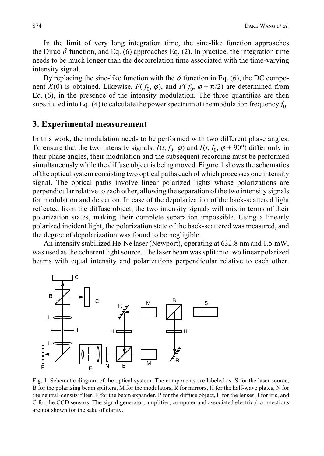In the limit of very long integration time, the sinc-like function approaches the Dirac  $\delta$  function, and Eq. (6) approaches Eq. (2). In practice, the integration time needs to be much longer than the decorrelation time associated with the time-varying intensity signal.

By replacing the sinc-like function with the  $\delta$  function in Eq. (6), the DC component *X*(0) is obtained. Likewise,  $F(f_0, \varphi)$ , and  $F(f_0, \varphi + \pi/2)$  are determined from Eq. (6), in the presence of the intensity modulation. The three quantities are then substituted into Eq. (4) to calculate the power spectrum at the modulation frequency  $f_0$ .

#### **3. Experimental measurement**

In this work, the modulation needs to be performed with two different phase angles. To ensure that the two intensity signals:  $I(t, f_0, \varphi)$  and  $I(t, f_0, \varphi + 90^\circ)$  differ only in their phase angles, their modulation and the subsequent recording must be performed simultaneously while the diffuse object is being moved. Figure 1 shows the schematics of the optical system consisting two optical paths each of which processes one intensity signal. The optical paths involve linear polarized lights whose polarizations are perpendicular relative to each other, allowing the separation of the two intensity signals for modulation and detection. In case of the depolarization of the back-scattered light reflected from the diffuse object, the two intensity signals will mix in terms of their polarization states, making their complete separation impossible. Using a linearly polarized incident light, the polarization state of the back-scattered was measured, and the degree of depolarization was found to be negligible.

An intensity stabilized He-Ne laser (Newport), operating at 632.8 nm and 1.5 mW, was used as the coherent light source. The laser beam was split into two linear polarized beams with equal intensity and polarizations perpendicular relative to each other.



Fig. 1. Schematic diagram of the optical system. The components are labeled as: S for the laser source, B for the polarizing beam splitters, M for the modulators, R for mirrors, H for the half-wave plates, N for the neutral-density filter, E for the beam expander, P for the diffuse object, L for the lenses, I for iris, and C for the CCD sensors. The signal generator, amplifier, computer and associated electrical connections are not shown for the sake of clarity.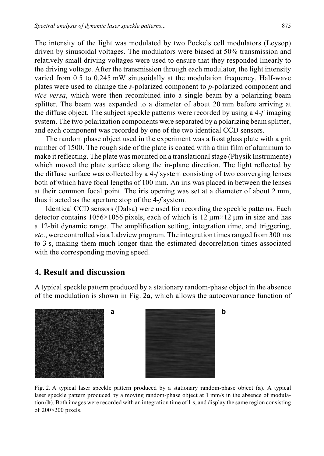The intensity of the light was modulated by two Pockels cell modulators (Leysop) driven by sinusoidal voltages. The modulators were biased at 50% transmission and relatively small driving voltages were used to ensure that they responded linearly to the driving voltage. After the transmission through each modulator, the light intensity varied from 0.5 to 0.245 mW sinusoidally at the modulation frequency. Half-wave plates were used to change the *s*-polarized component to *p*-polarized component and *vice versa*, which were then recombined into a single beam by a polarizing beam splitter. The beam was expanded to a diameter of about 20 mm before arriving at the diffuse object. The subject speckle patterns were recorded by using a 4-*f* imaging system. The two polarization components were separated by a polarizing beam splitter, and each component was recorded by one of the two identical CCD sensors.

The random phase object used in the experiment was a frost glass plate with a grit number of 1500. The rough side of the plate is coated with a thin film of aluminum to make it reflecting. The plate was mounted on a translational stage (Physik Instrumente) which moved the plate surface along the in-plane direction. The light reflected by the diffuse surface was collected by a 4-*f* system consisting of two converging lenses both of which have focal lengths of 100 mm. An iris was placed in between the lenses at their common focal point. The iris opening was set at a diameter of about 2 mm, thus it acted as the aperture stop of the 4-*f* system.

Identical CCD sensors (Dalsa) were used for recording the speckle patterns. Each detector contains 1056×1056 pixels, each of which is 12  $\mu$ m×12  $\mu$ m in size and has a 12-bit dynamic range. The amplification setting, integration time, and triggering, *etc*., were controlled via a Labview program. The integration times ranged from 300 ms to 3 s, making them much longer than the estimated decorrelation times associated with the corresponding moving speed.

### **4. Result and discussion**

A typical speckle pattern produced by a stationary random-phase object in the absence of the modulation is shown in Fig. 2**a**, which allows the autocovariance function of





Fig. 2. A typical laser speckle pattern produced by a stationary random-phase object (**a**). A typical laser speckle pattern produced by a moving random-phase object at 1 mm/s in the absence of modulation (**b**). Both images were recorded with an integration time of 1 s, and display the same region consisting of 200×200 pixels.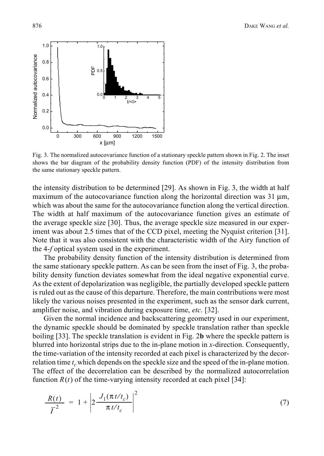

Fig. 3. The normalized autocovariance function of a stationary speckle pattern shown in Fig. 2. The inset shows the bar diagram of the probability density function (PDF) of the intensity distribution from the same stationary speckle pattern.

the intensity distribution to be determined [29]. As shown in Fig. 3, the width at half maximum of the autocovariance function along the horizontal direction was  $31 \mu m$ , which was about the same for the autocovariance function along the vertical direction. The width at half maximum of the autocovariance function gives an estimate of the average speckle size [30]. Thus, the average speckle size measured in our experiment was about 2.5 times that of the CCD pixel, meeting the Nyquist criterion [31]. Note that it was also consistent with the characteristic width of the Airy function of the 4-*f* optical system used in the experiment.

The probability density function of the intensity distribution is determined from the same stationary speckle pattern. As can be seen from the inset of Fig. 3, the probability density function deviates somewhat from the ideal negative exponential curve. As the extent of depolarization was negligible, the partially developed speckle pattern is ruled out as the cause of this departure. Therefore, the main contributions were most likely the various noises presented in the experiment, such as the sensor dark current, amplifier noise, and vibration during exposure time, *etc*. [32].

Given the normal incidence and backscattering geometry used in our experiment, the dynamic speckle should be dominated by speckle translation rather than speckle boiling [33]. The speckle translation is evident in Fig. 2**b** where the speckle pattern is blurred into horizontal strips due to the in-plane motion in *x*-direction. Consequently, the time-variation of the intensity recorded at each pixel is characterized by the decorrelation time  $t_c$  which depends on the speckle size and the speed of the in-plane motion. The effect of the decorrelation can be described by the normalized autocorrelation function  $R(t)$  of the time-varying intensity recorded at each pixel [34]:

$$
\frac{R(t)}{\overline{I}^2} = 1 + \left| 2 \frac{J_1(\pi t/t_c)}{\pi t/t_c} \right|^2 \tag{7}
$$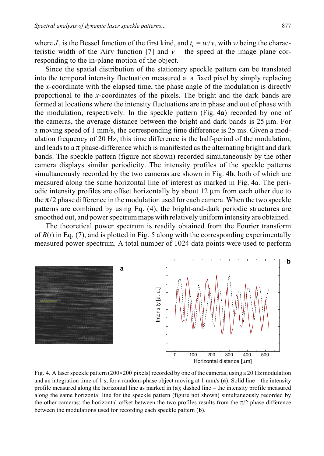where  $J_1$  is the Bessel function of the first kind, and  $t_c = w/v$ , with *w* being the characteristic width of the Airy function [7] and  $v$  – the speed at the image plane corresponding to the in-plane motion of the object.

Since the spatial distribution of the stationary speckle pattern can be translated into the temporal intensity fluctuation measured at a fixed pixel by simply replacing the *x*-coordinate with the elapsed time, the phase angle of the modulation is directly proportional to the *x*-coordinates of the pixels. The bright and the dark bands are formed at locations where the intensity fluctuations are in phase and out of phase with the modulation, respectively. In the speckle pattern (Fig. 4**a**) recorded by one of the cameras, the average distance between the bright and dark bands is 25 μm. For a moving speed of 1 mm/s, the corresponding time difference is 25 ms. Given a modulation frequency of 20 Hz, this time difference is the half-period of the modulation, and leads to a  $\pi$  phase-difference which is manifested as the alternating bright and dark bands. The speckle pattern (figure not shown) recorded simultaneously by the other camera displays similar periodicity. The intensity profiles of the speckle patterns simultaneously recorded by the two cameras are shown in Fig. 4**b**, both of which are measured along the same horizontal line of interest as marked in Fig. 4a. The periodic intensity profiles are offset horizontally by about 12 μm from each other due to the  $\pi/2$  phase difference in the modulation used for each camera. When the two speckle patterns are combined by using Eq. (4), the bright-and-dark periodic structures are smoothed out, and power spectrum maps with relatively uniform intensity are obtained.

The theoretical power spectrum is readily obtained from the Fourier transform of  $R(t)$  in Eq. (7), and is plotted in Fig. 5 along with the corresponding experimentally measured power spectrum. A total number of 1024 data points were used to perform



Fig. 4. A laser speckle pattern (200×200 pixels) recorded by one of the cameras, using a 20 Hz modulation and an integration time of 1 s, for a random-phase object moving at 1 mm/s (**a**). Solid line – the intensity profile measured along the horizontal line as marked in (**a**); dashed line – the intensity profile measured along the same horizontal line for the speckle pattern (figure not shown) simultaneously recorded by the other cameras; the horizontal offset between the two profiles results from the  $\pi/2$  phase difference between the modulations used for recording each speckle pattern (**b**).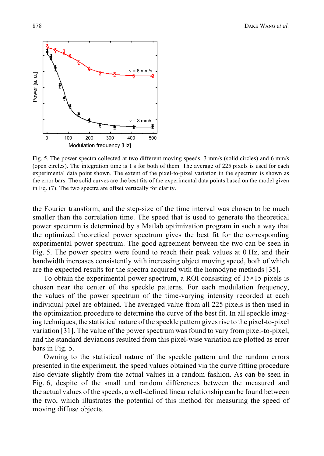

Fig. 5. The power spectra collected at two different moving speeds: 3 mm/s (solid circles) and 6 mm/s (open circles). The integration time is 1 s for both of them. The average of 225 pixels is used for each experimental data point shown. The extent of the pixel-to-pixel variation in the spectrum is shown as the error bars. The solid curves are the best fits of the experimental data points based on the model given in Eq. (7). The two spectra are offset vertically for clarity.

the Fourier transform, and the step-size of the time interval was chosen to be much smaller than the correlation time. The speed that is used to generate the theoretical power spectrum is determined by a Matlab optimization program in such a way that the optimized theoretical power spectrum gives the best fit for the corresponding experimental power spectrum. The good agreement between the two can be seen in Fig. 5. The power spectra were found to reach their peak values at 0 Hz, and their bandwidth increases consistently with increasing object moving speed, both of which are the expected results for the spectra acquired with the homodyne methods [35].

To obtain the experimental power spectrum, a ROI consisting of  $15\times15$  pixels is chosen near the center of the speckle patterns. For each modulation frequency, the values of the power spectrum of the time-varying intensity recorded at each individual pixel are obtained. The averaged value from all 225 pixels is then used in the optimization procedure to determine the curve of the best fit. In all speckle imaging techniques, the statistical nature of the speckle pattern gives rise to the pixel-to-pixel variation [31]. The value of the power spectrum was found to vary from pixel-to-pixel, and the standard deviations resulted from this pixel-wise variation are plotted as error bars in Fig. 5.

Owning to the statistical nature of the speckle pattern and the random errors presented in the experiment, the speed values obtained via the curve fitting procedure also deviate slightly from the actual values in a random fashion. As can be seen in Fig. 6, despite of the small and random differences between the measured and the actual values of the speeds, a well-defined linear relationship can be found between the two, which illustrates the potential of this method for measuring the speed of moving diffuse objects.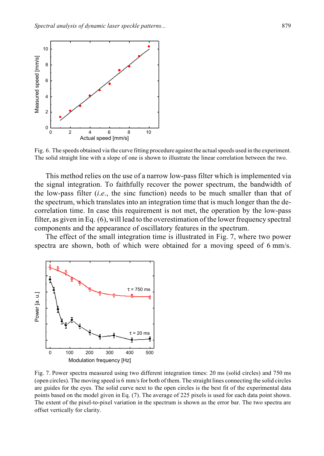

Fig. 6. The speeds obtained via the curve fitting procedure against the actual speeds used in the experiment. The solid straight line with a slope of one is shown to illustrate the linear correlation between the two.

This method relies on the use of a narrow low-pass filter which is implemented via the signal integration. To faithfully recover the power spectrum, the bandwidth of the low-pass filter (*i*.*e*., the sinc function) needs to be much smaller than that of the spectrum, which translates into an integration time that is much longer than the decorrelation time. In case this requirement is not met, the operation by the low-pass filter, as given in Eq. (6), will lead to the overestimation of the lower frequency spectral components and the appearance of oscillatory features in the spectrum.

The effect of the small integration time is illustrated in Fig. 7, where two power spectra are shown, both of which were obtained for a moving speed of 6 mm/s.



Fig. 7. Power spectra measured using two different integration times: 20 ms (solid circles) and 750 ms (open circles). The moving speed is 6 mm/s for both of them. The straight lines connecting the solid circles are guides for the eyes. The solid curve next to the open circles is the best fit of the experimental data points based on the model given in Eq. (7). The average of 225 pixels is used for each data point shown. The extent of the pixel-to-pixel variation in the spectrum is shown as the error bar. The two spectra are offset vertically for clarity.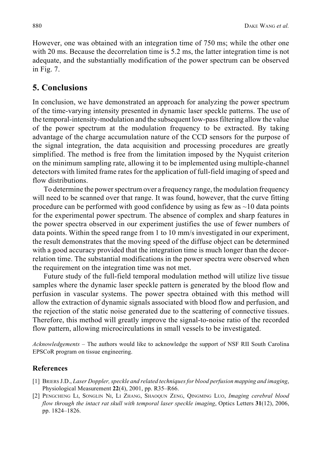However, one was obtained with an integration time of 750 ms; while the other one with 20 ms. Because the decorrelation time is 5.2 ms, the latter integration time is not adequate, and the substantially modification of the power spectrum can be observed in Fig. 7.

## **5. Conclusions**

In conclusion, we have demonstrated an approach for analyzing the power spectrum of the time-varying intensity presented in dynamic laser speckle patterns. The use of the temporal-intensity-modulation and the subsequent low-pass filtering allow the value of the power spectrum at the modulation frequency to be extracted. By taking advantage of the charge accumulation nature of the CCD sensors for the purpose of the signal integration, the data acquisition and processing procedures are greatly simplified. The method is free from the limitation imposed by the Nyquist criterion on the minimum sampling rate, allowing it to be implemented using multiple-channel detectors with limited frame rates for the application of full-field imaging of speed and flow distributions.

To determine the power spectrum over a frequency range, the modulation frequency will need to be scanned over that range. It was found, however, that the curve fitting procedure can be performed with good confidence by using as few as  $\sim$ 10 data points for the experimental power spectrum. The absence of complex and sharp features in the power spectra observed in our experiment justifies the use of fewer numbers of data points. Within the speed range from 1 to 10 mm/s investigated in our experiment, the result demonstrates that the moving speed of the diffuse object can be determined with a good accuracy provided that the integration time is much longer than the decorrelation time. The substantial modifications in the power spectra were observed when the requirement on the integration time was not met.

Future study of the full-field temporal modulation method will utilize live tissue samples where the dynamic laser speckle pattern is generated by the blood flow and perfusion in vascular systems. The power spectra obtained with this method will allow the extraction of dynamic signals associated with blood flow and perfusion, and the rejection of the static noise generated due to the scattering of connective tissues. Therefore, this method will greatly improve the signal-to-noise ratio of the recorded flow pattern, allowing microcirculations in small vessels to be investigated.

*Acknowledgements* – The authors would like to acknowledge the support of NSF RII South Carolina EPSCoR program on tissue engineering.

#### **References**

- [1] BRIERS J.D., *Laser Doppler, speckle and related techniques for blood perfusion mapping and imaging*, Physiological Measurement **22**(4), 2001, pp. R35–R66.
- [2] PENGCHENG LI, SONGLIN NI, LI ZHANG, SHAOQUN ZENG, QINGMING LUO, *Imaging cerebral blood flow through the intact rat skull with temporal laser speckle imaging*, Optics Letters **31**(12), 2006, pp. 1824–1826.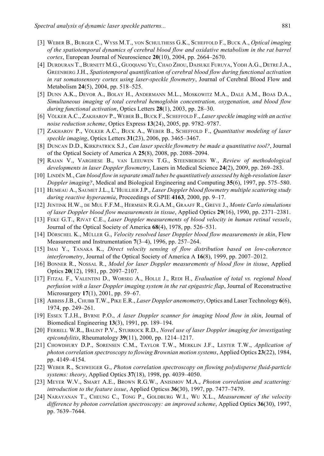- [3] WEBER B., BURGER C., WYSS M.T., VON SCHULTHESS G.K., SCHEFFOLD F., BUCK A., *Optical imaging of the spatiotemporal dynamics of cerebral blood flow and oxidative metabolism in the rat barrel cortex*, European Journal of Neuroscience **20**(10), 2004, pp. 2664–2670.
- [4] DURDURAN T., BURNETT M.G., GUOQIANG YU, CHAO ZHOU, DAISUKE FURUYA, YODH A.G., DETRE J.A., GREENBERG J.H., *Spatiotemporal quantification of cerebral blood flow during functional activation in rat somatosensory cortex using laser-speckle flowmetry*, Journal of Cerebral Blood Flow and Metabolism **24**(5), 2004, pp. 518–525.
- [5] DUNN A.K., DEVOR A., BOLAY H., ANDERMANN M.L., MOSKOWITZ M.A., DALE A.M., BOAS D.A., *Simultaneous imaging of total cerebral hemoglobin concentration, oxygenation, and blood flow during functional activation*, Optics Letters **28**(1), 2003, pp. 28–30.
- [6] VÖLKER A.C., ZAKHAROV P., WEBER B., BUCK F., SCHEFFOLD F., *Laser speckle imaging with an active noise reduction scheme*, Optics Express **13**(24), 2005, pp. 9782–9787.
- [7] ZAKHAROV P., VÖLKER A.C., BUCK A., WEBER B., SCHEFFOLD F., *Quantitative modeling of laser speckle imaging*, Optics Letters **31**(23), 2006, pp. 3465–3467.
- [8] DUNCAN D.D., KIRKPATRICK S.J., *Can laser speckle flowmetry be made a quantitative tool?*, Journal of the Optical Society of America A **25**(8), 2008, pp. 2088–2094.
- [9] RAJAN V., VARGHESE B., VAN LEEUWEN T.G., STEENBERGEN W., *Review of methodological developments in laser Doppler flowmetry*, Lasers in Medical Science **24**(2), 2009, pp. 269–283.
- [10] LINDÉN M., *Can blood flow in separate small tubes be quantitatively assessed by high-resolution laser Doppler imaging?*, Medical and Biological Engineering and Computing **35**(6), 1997, pp. 575–580.
- [11] HUMEAU A., SAUMET J.L., L'HUILLIER J.P., *Laser Doppler blood flowmetry multiple scattering study during reactive hyperaemia*, Proceedings of SPIE **4163**, 2000, pp. 9–17.
- [12] JENTINK H.W., DE MUL F.F.M., HERMSEN R.G.A.M., GRAAFF R., GREVE J., *Monte Carlo simulations of laser Doppler blood flow measurements in tissue*, Applied Optics **29**(16), 1990, pp. 2371–2381.
- [13] FEKE G.T., RIVAT C.E., *Laser Doppler measurements of blood velocity in human retinal vessels*, Journal of the Optical Society of America **68**(4), 1978, pp. 526–531.
- [14] DÖRSCHEL K., MÜLLER G., *Velocity resolved laser Doppler blood flow measurements in skin*, Flow Measurement and Instrumentation **7**(3–4), 1996, pp. 257–264.
- [15] IMAI Y., TANAKA K., *Direct velocity sensing of flow distribution based on low-coherence interferometry*, Journal of the Optical Society of America A **16**(8), 1999, pp. 2007–2012.
- [16] BONNER R., NOSSAL R., *Model for laser Doppler measurements of blood flow in tissue*, Applied Optics **20**(12), 1981, pp. 2097–2107.
- [17] FITZAL F., VALENTINI D., WORSEG A., HOLLE J., REDI H., *Evaluation of total vs. regional blood perfusion with a laser Doppler imaging system in the rat epigastric flap*, Journal of Reconstructive Microsurgery **17**(1), 2001, pp. 59–67.
- [18] ABBISS J.B., CHUBB T.W., PIKE E.R., *Laser Doppler anemometry*, Optics and Laser Technology **6**(6), 1974, pp. 249–261.
- [19] ESSEX T.J.H., BYRNE P.O., *A laser Doppler scanner for imaging blood flow in skin*, Journal of Biomedical Engineering **13**(3), 1991, pp. 189–194.
- [20] FERRELL W.R., BALINT P.V., STURROCK R.D., *Novel use of laser Doppler imaging for investigating epicondylitis*, Rheumatology **39**(11), 2000, pp. 1214–1217.
- [21] CHOWDHURY D.P., SORENSEN C.M., TAYLOR T.W., MERKLIN J.F., LESTER T.W., *Application of photon correlation spectroscopy to flowing Brownian motion systems*, Applied Optics **23**(22), 1984, pp. 4149–4154.
- [22] WEBER R., SCHWEIGER G., *Photon correlation spectroscopy on flowing polydisperse fluid-particle systems: theory*, Applied Optics **37**(18), 1998, pp. 4039–4050.
- [23] MEYER W.V., SMART A.E., BROWN R.G.W., ANISIMOV M.A., *Photon correlation and scattering: introduction to the feature issue*, Applied Opticss **36**(30), 1997, pp. 7477–7479.
- [24] NARAYANAN T., CHEUNG C., TONG P., GOLDBURG W.I., WU X.L., *Measurement of the velocity difference by photon correlation spectroscopy: an improved scheme*, Applied Optics **36**(30), 1997, pp. 7639–7644.